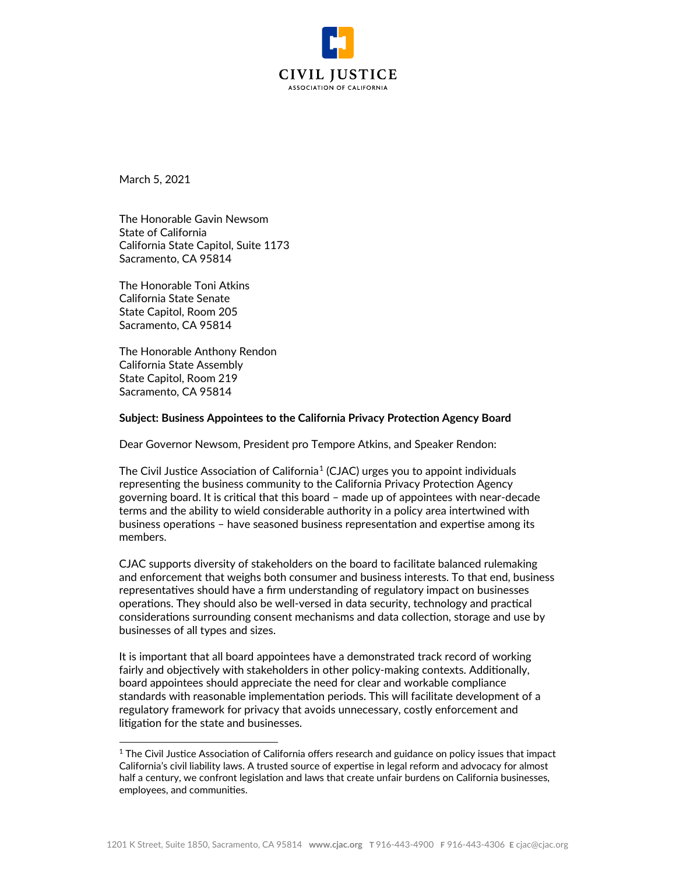

March 5, 2021

The Honorable Gavin Newsom State of California California State Capitol, Suite 1173 Sacramento, CA 95814

The Honorable Toni Atkins California State Senate State Capitol, Room 205 Sacramento, CA 95814

The Honorable Anthony Rendon California State Assembly State Capitol, Room 219 Sacramento, CA 95814

## **Subject: Business Appointees to the California Privacy Protection Agency Board**

Dear Governor Newsom, President pro Tempore Atkins, and Speaker Rendon:

The Civil Justice Association of California<sup>[1](#page-0-0)</sup> (CJAC) urges you to appoint individuals representing the business community to the California Privacy Protection Agency governing board. It is critical that this board – made up of appointees with near-decade terms and the ability to wield considerable authority in a policy area intertwined with business operations – have seasoned business representation and expertise among its members.

CJAC supports diversity of stakeholders on the board to facilitate balanced rulemaking and enforcement that weighs both consumer and business interests. To that end, business representatives should have a firm understanding of regulatory impact on businesses operations. They should also be well-versed in data security, technology and practical considerations surrounding consent mechanisms and data collection, storage and use by businesses of all types and sizes.

It is important that all board appointees have a demonstrated track record of working fairly and objectively with stakeholders in other policy-making contexts. Additionally, board appointees should appreciate the need for clear and workable compliance standards with reasonable implementation periods. This will facilitate development of a regulatory framework for privacy that avoids unnecessary, costly enforcement and litigation for the state and businesses.

<span id="page-0-0"></span><sup>&</sup>lt;sup>1</sup> The Civil Justice Association of California offers research and guidance on policy issues that impact California's civil liability laws. A trusted source of expertise in legal reform and advocacy for almost half a century, we confront legislation and laws that create unfair burdens on California businesses, employees, and communities.